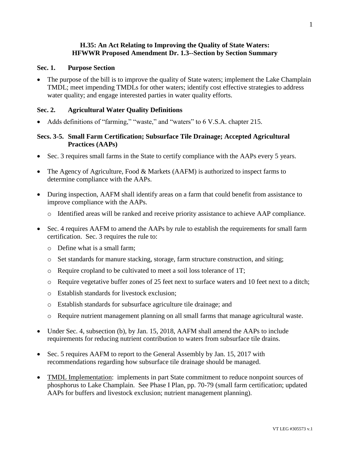## **H.35: An Act Relating to Improving the Quality of State Waters: HFWWR Proposed Amendment Dr. 1.3--Section by Section Summary**

#### **Sec. 1. Purpose Section**

 The purpose of the bill is to improve the quality of State waters; implement the Lake Champlain TMDL; meet impending TMDLs for other waters; identify cost effective strategies to address water quality; and engage interested parties in water quality efforts.

#### **Sec. 2. Agricultural Water Quality Definitions**

Adds definitions of "farming," "waste," and "waters" to 6 V.S.A. chapter 215.

## **Secs. 3-5. Small Farm Certification; Subsurface Tile Drainage; Accepted Agricultural Practices (AAPs)**

- Sec. 3 requires small farms in the State to certify compliance with the AAPs every 5 years.
- The Agency of Agriculture, Food & Markets (AAFM) is authorized to inspect farms to determine compliance with the AAPs.
- During inspection, AAFM shall identify areas on a farm that could benefit from assistance to improve compliance with the AAPs.
	- o Identified areas will be ranked and receive priority assistance to achieve AAP compliance.
- Sec. 4 requires AAFM to amend the AAPs by rule to establish the requirements for small farm certification. Sec. 3 requires the rule to:
	- o Define what is a small farm;
	- o Set standards for manure stacking, storage, farm structure construction, and siting;
	- o Require cropland to be cultivated to meet a soil loss tolerance of 1T;
	- o Require vegetative buffer zones of 25 feet next to surface waters and 10 feet next to a ditch;
	- o Establish standards for livestock exclusion;
	- o Establish standards for subsurface agriculture tile drainage; and
	- o Require nutrient management planning on all small farms that manage agricultural waste.
- Under Sec. 4, subsection (b), by Jan. 15, 2018, AAFM shall amend the AAPs to include requirements for reducing nutrient contribution to waters from subsurface tile drains.
- Sec. 5 requires AAFM to report to the General Assembly by Jan. 15, 2017 with recommendations regarding how subsurface tile drainage should be managed.
- TMDL Implementation: implements in part State commitment to reduce nonpoint sources of phosphorus to Lake Champlain. See Phase I Plan, pp. 70-79 (small farm certification; updated AAPs for buffers and livestock exclusion; nutrient management planning).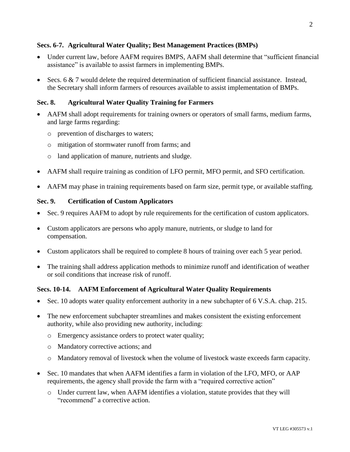## **Secs. 6-7. Agricultural Water Quality; Best Management Practices (BMPs)**

- Under current law, before AAFM requires BMPS, AAFM shall determine that "sufficient financial assistance" is available to assist farmers in implementing BMPs.
- Secs. 6  $\&$  7 would delete the required determination of sufficient financial assistance. Instead, the Secretary shall inform farmers of resources available to assist implementation of BMPs.

## **Sec. 8. Agricultural Water Quality Training for Farmers**

- AAFM shall adopt requirements for training owners or operators of small farms, medium farms, and large farms regarding:
	- o prevention of discharges to waters;
	- o mitigation of stormwater runoff from farms; and
	- o land application of manure, nutrients and sludge.
- AAFM shall require training as condition of LFO permit, MFO permit, and SFO certification.
- AAFM may phase in training requirements based on farm size, permit type, or available staffing.

## **Sec. 9. Certification of Custom Applicators**

- Sec. 9 requires AAFM to adopt by rule requirements for the certification of custom applicators.
- Custom applicators are persons who apply manure, nutrients, or sludge to land for compensation.
- Custom applicators shall be required to complete 8 hours of training over each 5 year period.
- The training shall address application methods to minimize runoff and identification of weather or soil conditions that increase risk of runoff.

## **Secs. 10-14. AAFM Enforcement of Agricultural Water Quality Requirements**

- Sec. 10 adopts water quality enforcement authority in a new subchapter of 6 V.S.A. chap. 215.
- The new enforcement subchapter streamlines and makes consistent the existing enforcement authority, while also providing new authority, including:
	- o Emergency assistance orders to protect water quality;
	- o Mandatory corrective actions; and
	- o Mandatory removal of livestock when the volume of livestock waste exceeds farm capacity.
- Sec. 10 mandates that when AAFM identifies a farm in violation of the LFO, MFO, or AAP requirements, the agency shall provide the farm with a "required corrective action"
	- o Under current law, when AAFM identifies a violation, statute provides that they will "recommend" a corrective action.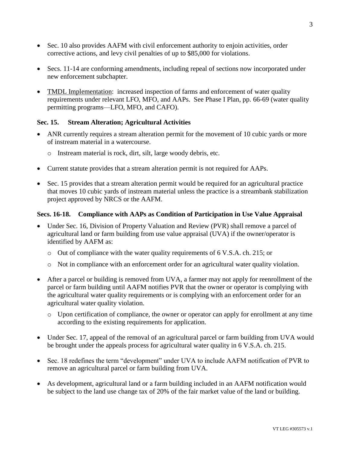- Sec. 10 also provides AAFM with civil enforcement authority to enjoin activities, order corrective actions, and levy civil penalties of up to \$85,000 for violations.
- Secs. 11-14 are conforming amendments, including repeal of sections now incorporated under new enforcement subchapter.
- TMDL Implementation: increased inspection of farms and enforcement of water quality requirements under relevant LFO, MFO, and AAPs. See Phase I Plan, pp. 66-69 (water quality permitting programs—LFO, MFO, and CAFO).

# **Sec. 15. Stream Alteration; Agricultural Activities**

- ANR currently requires a stream alteration permit for the movement of 10 cubic yards or more of instream material in a watercourse.
	- o Instream material is rock, dirt, silt, large woody debris, etc.
- Current statute provides that a stream alteration permit is not required for AAPs.
- Sec. 15 provides that a stream alteration permit would be required for an agricultural practice that moves 10 cubic yards of instream material unless the practice is a streambank stabilization project approved by NRCS or the AAFM.

#### **Secs. 16-18. Compliance with AAPs as Condition of Participation in Use Value Appraisal**

- Under Sec. 16, Division of Property Valuation and Review (PVR) shall remove a parcel of agricultural land or farm building from use value appraisal (UVA) if the owner/operator is identified by AAFM as:
	- $\circ$  Out of compliance with the water quality requirements of 6 V.S.A. ch. 215; or
	- o Not in compliance with an enforcement order for an agricultural water quality violation.
- After a parcel or building is removed from UVA, a farmer may not apply for reenrollment of the parcel or farm building until AAFM notifies PVR that the owner or operator is complying with the agricultural water quality requirements or is complying with an enforcement order for an agricultural water quality violation.
	- $\circ$  Upon certification of compliance, the owner or operator can apply for enrollment at any time according to the existing requirements for application.
- Under Sec. 17, appeal of the removal of an agricultural parcel or farm building from UVA would be brought under the appeals process for agricultural water quality in 6 V.S.A. ch. 215.
- Sec. 18 redefines the term "development" under UVA to include AAFM notification of PVR to remove an agricultural parcel or farm building from UVA.
- As development, agricultural land or a farm building included in an AAFM notification would be subject to the land use change tax of 20% of the fair market value of the land or building.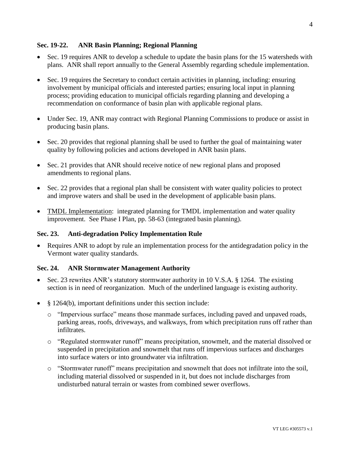## **Sec. 19-22. ANR Basin Planning; Regional Planning**

- Sec. 19 requires ANR to develop a schedule to update the basin plans for the 15 watersheds with plans. ANR shall report annually to the General Assembly regarding schedule implementation.
- Sec. 19 requires the Secretary to conduct certain activities in planning, including: ensuring involvement by municipal officials and interested parties; ensuring local input in planning process; providing education to municipal officials regarding planning and developing a recommendation on conformance of basin plan with applicable regional plans.
- Under Sec. 19, ANR may contract with Regional Planning Commissions to produce or assist in producing basin plans.
- Sec. 20 provides that regional planning shall be used to further the goal of maintaining water quality by following policies and actions developed in ANR basin plans.
- Sec. 21 provides that ANR should receive notice of new regional plans and proposed amendments to regional plans.
- Sec. 22 provides that a regional plan shall be consistent with water quality policies to protect and improve waters and shall be used in the development of applicable basin plans.
- TMDL Implementation: integrated planning for TMDL implementation and water quality improvement. See Phase I Plan, pp. 58-63 (integrated basin planning).

## **Sec. 23. Anti-degradation Policy Implementation Rule**

 Requires ANR to adopt by rule an implementation process for the antidegradation policy in the Vermont water quality standards.

## **Sec. 24. ANR Stormwater Management Authority**

- Sec. 23 rewrites ANR's statutory stormwater authority in 10 V.S.A.  $\S$  1264. The existing section is in need of reorganization. Much of the underlined language is existing authority.
- § 1264(b), important definitions under this section include:
	- o "Impervious surface" means those manmade surfaces, including paved and unpaved roads, parking areas, roofs, driveways, and walkways, from which precipitation runs off rather than infiltrates.
	- o "Regulated stormwater runoff" means precipitation, snowmelt, and the material dissolved or suspended in precipitation and snowmelt that runs off impervious surfaces and discharges into surface waters or into groundwater via infiltration.
	- o "Stormwater runoff" means precipitation and snowmelt that does not infiltrate into the soil, including material dissolved or suspended in it, but does not include discharges from undisturbed natural terrain or wastes from combined sewer overflows.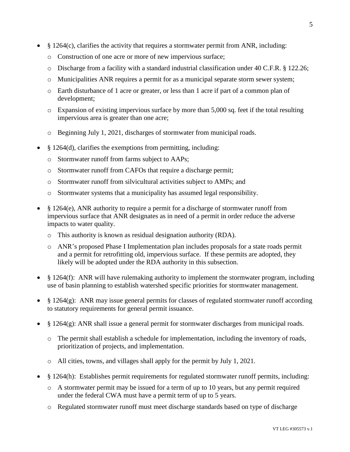- § 1264(c), clarifies the activity that requires a stormwater permit from ANR, including:
	- o Construction of one acre or more of new impervious surface;
	- o Discharge from a facility with a standard industrial classification under 40 C.F.R. § 122.26;
	- o Municipalities ANR requires a permit for as a municipal separate storm sewer system;
	- o Earth disturbance of 1 acre or greater, or less than 1 acre if part of a common plan of development;
	- $\circ$  Expansion of existing impervious surface by more than 5,000 sq. feet if the total resulting impervious area is greater than one acre;
	- o Beginning July 1, 2021, discharges of stormwater from municipal roads.
- § 1264(d), clarifies the exemptions from permitting, including:
	- o Stormwater runoff from farms subject to AAPs;
	- o Stormwater runoff from CAFOs that require a discharge permit;
	- o Stormwater runoff from silvicultural activities subject to AMPs; and
	- o Stormwater systems that a municipality has assumed legal responsibility.
- § 1264(e), ANR authority to require a permit for a discharge of stormwater runoff from impervious surface that ANR designates as in need of a permit in order reduce the adverse impacts to water quality.
	- o This authority is known as residual designation authority (RDA).
	- o ANR's proposed Phase I Implementation plan includes proposals for a state roads permit and a permit for retrofitting old, impervious surface. If these permits are adopted, they likely will be adopted under the RDA authority in this subsection.
- § 1264(f): ANR will have rulemaking authority to implement the stormwater program, including use of basin planning to establish watershed specific priorities for stormwater management.
- $\S$  1264(g): ANR may issue general permits for classes of regulated stormwater runoff according to statutory requirements for general permit issuance.
- $\S$  1264(g): ANR shall issue a general permit for stormwater discharges from municipal roads.
	- o The permit shall establish a schedule for implementation, including the inventory of roads, prioritization of projects, and implementation.
	- o All cities, towns, and villages shall apply for the permit by July 1, 2021.
- § 1264(h): Establishes permit requirements for regulated stormwater runoff permits, including:
	- $\circ$  A stormwater permit may be issued for a term of up to 10 years, but any permit required under the federal CWA must have a permit term of up to 5 years.
	- o Regulated stormwater runoff must meet discharge standards based on type of discharge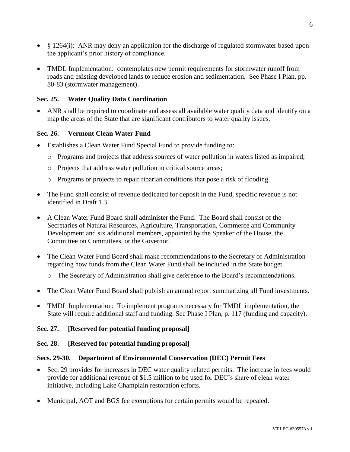- § 1264(i): ANR may deny an application for the discharge of regulated stormwater based upon the applicant's prior history of compliance.
- TMDL Implementation: contemplates new permit requirements for stormwater runoff from roads and existing developed lands to reduce erosion and sedimentation. See Phase I Plan, pp. 80-83 (stormwater management).

## **Sec. 25. Water Quality Data Coordination**

 ANR shall be required to coordinate and assess all available water quality data and identify on a map the areas of the State that are significant contributors to water quality issues.

## **Sec. 26. Vermont Clean Water Fund**

- Establishes a Clean Water Fund Special Fund to provide funding to:
	- o Programs and projects that address sources of water pollution in waters listed as impaired;
	- o Projects that address water pollution in critical source areas;
	- o Programs or projects to repair riparian conditions that pose a risk of flooding.
- The Fund shall consist of revenue dedicated for deposit in the Fund, specific revenue is not identified in Draft 1.3.
- A Clean Water Fund Board shall administer the Fund. The Board shall consist of the Secretaries of Natural Resources, Agriculture, Transportation, Commerce and Community Development and six additional members, appointed by the Speaker of the House, the Committee on Committees, or the Governor.
- The Clean Water Fund Board shall make recommendations to the Secretary of Administration regarding how funds from the Clean Water Fund shall be included in the State budget.
	- o The Secretary of Administration shall give deference to the Board's recommendations.
- The Clean Water Fund Board shall publish an annual report summarizing all Fund investments.
- TMDL Implementation: To implement programs necessary for TMDL implementation, the State will require additional staff and funding. See Phase I Plan, p. 117 (funding and capacity).

## **Sec. 27. [Reserved for potential funding proposal]**

## **Sec. 28. [Reserved for potential funding proposal]**

## **Secs. 29-30. Department of Environmental Conservation (DEC) Permit Fees**

- Sec. 29 provides for increases in DEC water quality related permits. The increase in fees would provide for additional revenue of \$1.5 million to be used for DEC's share of clean water initiative, including Lake Champlain restoration efforts.
- Municipal, AOT and BGS fee exemptions for certain permits would be repealed.